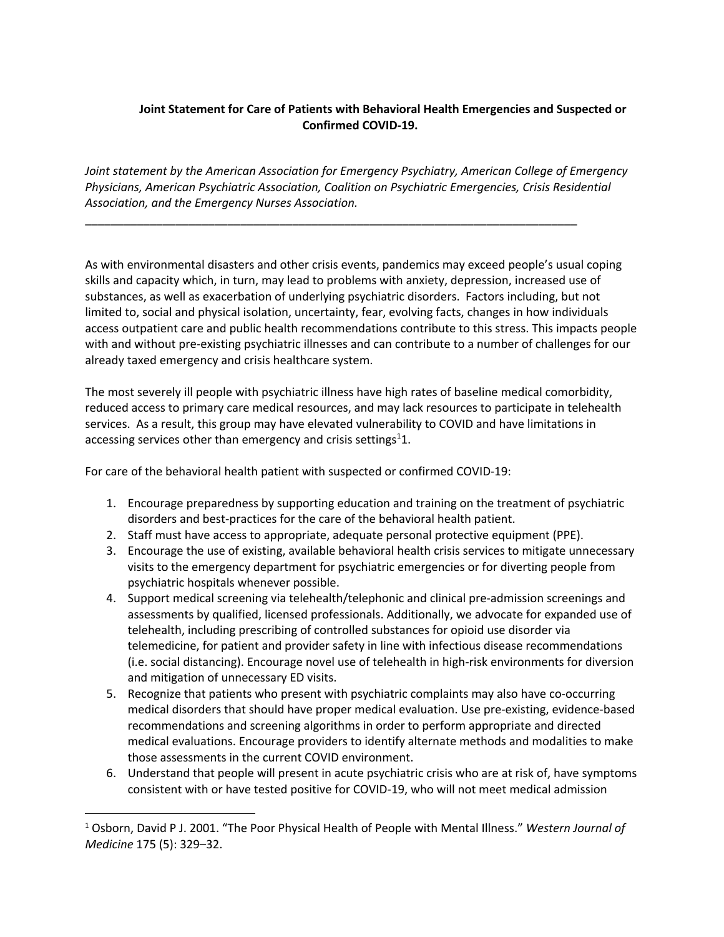## **Joint Statement for Care of Patients with Behavioral Health Emergencies and Suspected or Confirmed COVID-19.**

*Joint statement by the American Association for Emergency Psychiatry, American College of Emergency Physicians, American Psychiatric Association, Coalition on Psychiatric Emergencies, Crisis Residential Association, and the Emergency Nurses Association.*

\_\_\_\_\_\_\_\_\_\_\_\_\_\_\_\_\_\_\_\_\_\_\_\_\_\_\_\_\_\_\_\_\_\_\_\_\_\_\_\_\_\_\_\_\_\_\_\_\_\_\_\_\_\_\_\_\_\_\_\_\_\_\_\_\_\_\_\_\_\_\_\_\_\_\_\_

As with environmental disasters and other crisis events, pandemics may exceed people's usual coping skills and capacity which, in turn, may lead to problems with anxiety, depression, increased use of substances, as well as exacerbation of underlying psychiatric disorders. Factors including, but not limited to, social and physical isolation, uncertainty, fear, evolving facts, changes in how individuals access outpatient care and public health recommendations contribute to this stress. This impacts people with and without pre-existing psychiatric illnesses and can contribute to a number of challenges for our already taxed emergency and crisis healthcare system.

The most severely ill people with psychiatric illness have high rates of baseline medical comorbidity, reduced access to primary care medical resources, and may lack resources to participate in telehealth services. As a result, this group may have elevated vulnerability to COVID and have limitations in accessing services other than emergency and crisis settings<sup>1</sup>1.

For care of the behavioral health patient with suspected or confirmed COVID-19:

- 1. Encourage preparedness by supporting education and training on the treatment of psychiatric disorders and best-practices for the care of the behavioral health patient.
- 2. Staff must have access to appropriate, adequate personal protective equipment (PPE).
- 3. Encourage the use of existing, available behavioral health crisis services to mitigate unnecessary visits to the emergency department for psychiatric emergencies or for diverting people from psychiatric hospitals whenever possible.
- 4. Support medical screening via telehealth/telephonic and clinical pre-admission screenings and assessments by qualified, licensed professionals. Additionally, we advocate for expanded use of telehealth, including prescribing of controlled substances for opioid use disorder via telemedicine, for patient and provider safety in line with infectious disease recommendations (i.e. social distancing). Encourage novel use of telehealth in high-risk environments for diversion and mitigation of unnecessary ED visits.
- 5. Recognize that patients who present with psychiatric complaints may also have co-occurring medical disorders that should have proper medical evaluation. Use pre-existing, evidence-based recommendations and screening algorithms in order to perform appropriate and directed medical evaluations. Encourage providers to identify alternate methods and modalities to make those assessments in the current COVID environment.
- 6. Understand that people will present in acute psychiatric crisis who are at risk of, have symptoms consistent with or have tested positive for COVID-19, who will not meet medical admission

<sup>1</sup> Osborn, David P J. 2001. "The Poor Physical Health of People with Mental Illness." *Western Journal of Medicine* 175 (5): 329–32.